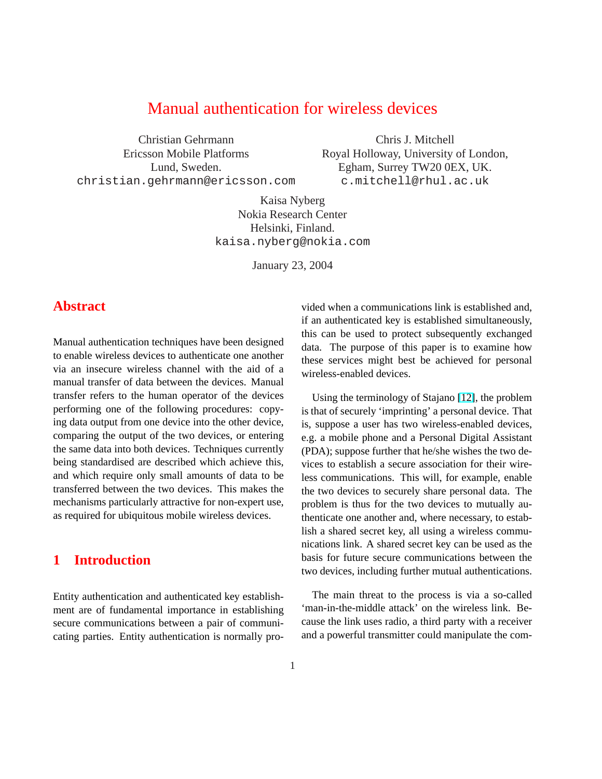## Manual authentication for wireless devices

Christian Gehrmann Ericsson Mobile Platforms Lund, Sweden. christian.gehrmann@ericsson.com

Chris J. Mitchell Royal Holloway, University of London, Egham, Surrey TW20 0EX, UK. c.mitchell@rhul.ac.uk

Kaisa Nyberg Nokia Research Center Helsinki, Finland. kaisa.nyberg@nokia.com

January 23, 2004

## **Abstract**

Manual authentication techniques have been designed to enable wireless devices to authenticate one another via an insecure wireless channel with the aid of a manual transfer of data between the devices. Manual transfer refers to the human operator of the devices performing one of the following procedures: copying data output from one device into the other device, comparing the output of the two devices, or entering the same data into both devices. Techniques currently being standardised are described which achieve this, and which require only small amounts of data to be transferred between the two devices. This makes the mechanisms particularly attractive for non-expert use, as required for ubiquitous mobile wireless devices.

## **1 Introduction**

Entity authentication and authenticated key establishment are of fundamental importance in establishing secure communications between a pair of communicating parties. Entity authentication is normally provided when a communications link is established and, if an authenticated key is established simultaneously, this can be used to protect subsequently exchanged data. The purpose of this paper is to examine how these services might best be achieved for personal wireless-enabled devices.

Using the terminology of Stajano [\[12\]](#page-8-0), the problem is that of securely 'imprinting' a personal device. That is, suppose a user has two wireless-enabled devices, e.g. a mobile phone and a Personal Digital Assistant (PDA); suppose further that he/she wishes the two devices to establish a secure association for their wireless communications. This will, for example, enable the two devices to securely share personal data. The problem is thus for the two devices to mutually authenticate one another and, where necessary, to establish a shared secret key, all using a wireless communications link. A shared secret key can be used as the basis for future secure communications between the two devices, including further mutual authentications.

The main threat to the process is via a so-called 'man-in-the-middle attack' on the wireless link. Because the link uses radio, a third party with a receiver and a powerful transmitter could manipulate the com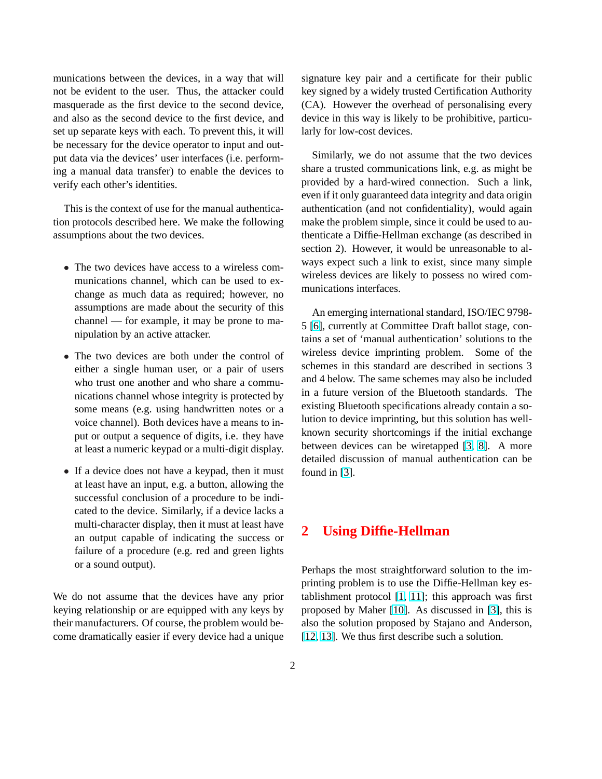munications between the devices, in a way that will not be evident to the user. Thus, the attacker could masquerade as the first device to the second device, and also as the second device to the first device, and set up separate keys with each. To prevent this, it will be necessary for the device operator to input and output data via the devices' user interfaces (i.e. performing a manual data transfer) to enable the devices to verify each other's identities.

This is the context of use for the manual authentication protocols described here. We make the following assumptions about the two devices.

- The two devices have access to a wireless communications channel, which can be used to exchange as much data as required; however, no assumptions are made about the security of this channel — for example, it may be prone to manipulation by an active attacker.
- The two devices are both under the control of either a single human user, or a pair of users who trust one another and who share a communications channel whose integrity is protected by some means (e.g. using handwritten notes or a voice channel). Both devices have a means to input or output a sequence of digits, i.e. they have at least a numeric keypad or a multi-digit display.
- If a device does not have a keypad, then it must at least have an input, e.g. a button, allowing the successful conclusion of a procedure to be indicated to the device. Similarly, if a device lacks a multi-character display, then it must at least have an output capable of indicating the success or failure of a procedure (e.g. red and green lights or a sound output).

We do not assume that the devices have any prior keying relationship or are equipped with any keys by their manufacturers. Of course, the problem would become dramatically easier if every device had a unique signature key pair and a certificate for their public key signed by a widely trusted Certification Authority (CA). However the overhead of personalising every device in this way is likely to be prohibitive, particularly for low-cost devices.

Similarly, we do not assume that the two devices share a trusted communications link, e.g. as might be provided by a hard-wired connection. Such a link, even if it only guaranteed data integrity and data origin authentication (and not confidentiality), would again make the problem simple, since it could be used to authenticate a Diffie-Hellman exchange (as described in section 2). However, it would be unreasonable to always expect such a link to exist, since many simple wireless devices are likely to possess no wired communications interfaces.

An emerging international standard, ISO/IEC 9798- 5 [\[6\]](#page-8-0), currently at Committee Draft ballot stage, contains a set of 'manual authentication' solutions to the wireless device imprinting problem. Some of the schemes in this standard are described in sections 3 and 4 below. The same schemes may also be included in a future version of the Bluetooth standards. The existing Bluetooth specifications already contain a solution to device imprinting, but this solution has wellknown security shortcomings if the initial exchange between devices can be wiretapped [\[3,](#page-7-0) [8\]](#page-8-0). A more detailed discussion of manual authentication can be found in [\[3\]](#page-7-0).

## **2 Using Diffie-Hellman**

Perhaps the most straightforward solution to the imprinting problem is to use the Diffie-Hellman key establishment protocol [\[1,](#page-7-0) [11\]](#page-8-0); this approach was first proposed by Maher [\[10\]](#page-8-0). As discussed in [\[3\]](#page-7-0), this is also the solution proposed by Stajano and Anderson, [\[12,](#page-8-0) [13\]](#page-8-0). We thus first describe such a solution.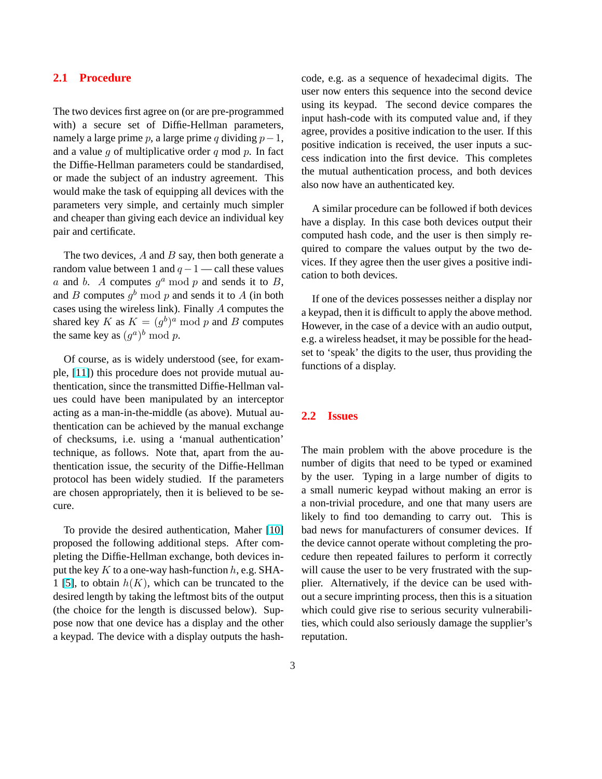### **2.1 Procedure**

The two devices first agree on (or are pre-programmed with) a secure set of Diffie-Hellman parameters, namely a large prime p, a large prime q dividing  $p-1$ , and a value  $q$  of multiplicative order  $q$  mod  $p$ . In fact the Diffie-Hellman parameters could be standardised, or made the subject of an industry agreement. This would make the task of equipping all devices with the parameters very simple, and certainly much simpler and cheaper than giving each device an individual key pair and certificate.

The two devices,  $A$  and  $B$  say, then both generate a random value between 1 and  $q - 1$  — call these values a and b. A computes  $g^a$  mod p and sends it to B, and B computes  $g^b \mod p$  and sends it to A (in both cases using the wireless link). Finally A computes the shared key K as  $K = (g^b)^a \mod p$  and B computes the same key as  $(g^a)^b \bmod p$ .

Of course, as is widely understood (see, for example, [\[11\]](#page-8-0)) this procedure does not provide mutual authentication, since the transmitted Diffie-Hellman values could have been manipulated by an interceptor acting as a man-in-the-middle (as above). Mutual authentication can be achieved by the manual exchange of checksums, i.e. using a 'manual authentication' technique, as follows. Note that, apart from the authentication issue, the security of the Diffie-Hellman protocol has been widely studied. If the parameters are chosen appropriately, then it is believed to be secure.

To provide the desired authentication, Maher [\[10\]](#page-8-0) proposed the following additional steps. After completing the Diffie-Hellman exchange, both devices input the key  $K$  to a one-way hash-function  $h$ , e.g. SHA-1 [\[5\]](#page-8-0), to obtain  $h(K)$ , which can be truncated to the desired length by taking the leftmost bits of the output (the choice for the length is discussed below). Suppose now that one device has a display and the other a keypad. The device with a display outputs the hashcode, e.g. as a sequence of hexadecimal digits. The user now enters this sequence into the second device using its keypad. The second device compares the input hash-code with its computed value and, if they agree, provides a positive indication to the user. If this positive indication is received, the user inputs a success indication into the first device. This completes the mutual authentication process, and both devices also now have an authenticated key.

A similar procedure can be followed if both devices have a display. In this case both devices output their computed hash code, and the user is then simply required to compare the values output by the two devices. If they agree then the user gives a positive indication to both devices.

If one of the devices possesses neither a display nor a keypad, then it is difficult to apply the above method. However, in the case of a device with an audio output, e.g. a wireless headset, it may be possible for the headset to 'speak' the digits to the user, thus providing the functions of a display.

#### **2.2 Issues**

The main problem with the above procedure is the number of digits that need to be typed or examined by the user. Typing in a large number of digits to a small numeric keypad without making an error is a non-trivial procedure, and one that many users are likely to find too demanding to carry out. This is bad news for manufacturers of consumer devices. If the device cannot operate without completing the procedure then repeated failures to perform it correctly will cause the user to be very frustrated with the supplier. Alternatively, if the device can be used without a secure imprinting process, then this is a situation which could give rise to serious security vulnerabilities, which could also seriously damage the supplier's reputation.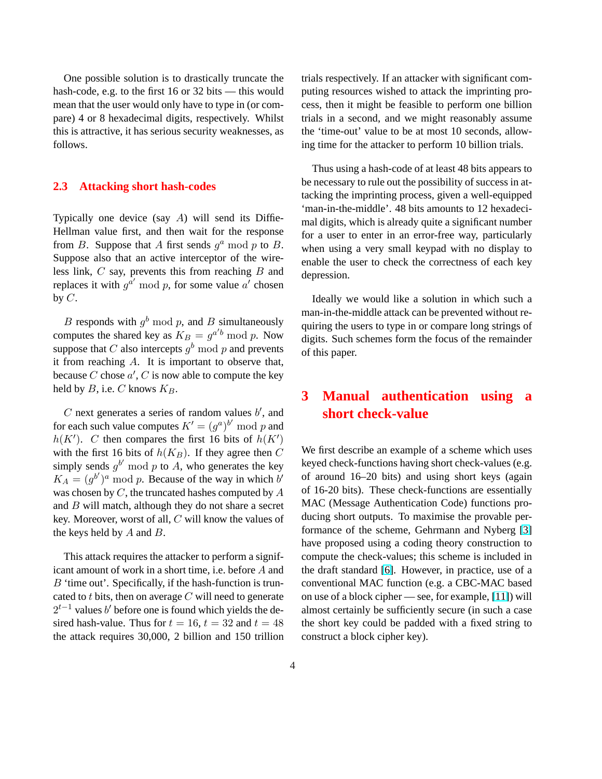One possible solution is to drastically truncate the hash-code, e.g. to the first 16 or 32 bits — this would mean that the user would only have to type in (or compare) 4 or 8 hexadecimal digits, respectively. Whilst this is attractive, it has serious security weaknesses, as follows.

#### **2.3 Attacking short hash-codes**

Typically one device (say  $A$ ) will send its Diffie-Hellman value first, and then wait for the response from B. Suppose that A first sends  $g^a$  mod p to B. Suppose also that an active interceptor of the wireless link,  $C$  say, prevents this from reaching  $B$  and replaces it with  $g^{\hat{a}'}$  mod p, for some value  $a'$  chosen by  $C$ .

B responds with  $g^b \mod p$ , and B simultaneously computes the shared key as  $K_B = g^{a'b} \mod p$ . Now suppose that C also intercepts  $g^b \mod p$  and prevents it from reaching A. It is important to observe that, because C chose  $a'$ , C is now able to compute the key held by  $B$ , i.e.  $C$  knows  $K_B$ .

 $C$  next generates a series of random values  $b'$ , and for each such value computes  $K' = (g^a)^{b'} \bmod p$  and  $h(K')$ . C then compares the first 16 bits of  $h(K')$ with the first 16 bits of  $h(K_B)$ . If they agree then C simply sends  $g^{b'}$  mod p to A, who generates the key  $K_A = (g^{b'})^a$  mod p. Because of the way in which b' was chosen by  $C$ , the truncated hashes computed by  $A$ and B will match, although they do not share a secret key. Moreover, worst of all, C will know the values of the keys held by  $A$  and  $B$ .

This attack requires the attacker to perform a significant amount of work in a short time, i.e. before A and  $B$  'time out'. Specifically, if the hash-function is truncated to t bits, then on average  $C$  will need to generate  $2^{t-1}$  values b' before one is found which yields the desired hash-value. Thus for  $t = 16$ ,  $t = 32$  and  $t = 48$ the attack requires 30,000, 2 billion and 150 trillion trials respectively. If an attacker with significant computing resources wished to attack the imprinting process, then it might be feasible to perform one billion trials in a second, and we might reasonably assume the 'time-out' value to be at most 10 seconds, allowing time for the attacker to perform 10 billion trials.

Thus using a hash-code of at least 48 bits appears to be necessary to rule out the possibility of success in attacking the imprinting process, given a well-equipped 'man-in-the-middle'. 48 bits amounts to 12 hexadecimal digits, which is already quite a significant number for a user to enter in an error-free way, particularly when using a very small keypad with no display to enable the user to check the correctness of each key depression.

Ideally we would like a solution in which such a man-in-the-middle attack can be prevented without requiring the users to type in or compare long strings of digits. Such schemes form the focus of the remainder of this paper.

# **3 Manual authentication using a short check-value**

We first describe an example of a scheme which uses keyed check-functions having short check-values (e.g. of around 16–20 bits) and using short keys (again of 16-20 bits). These check-functions are essentially MAC (Message Authentication Code) functions producing short outputs. To maximise the provable performance of the scheme, Gehrmann and Nyberg [\[3\]](#page-7-0) have proposed using a coding theory construction to compute the check-values; this scheme is included in the draft standard [\[6\]](#page-8-0). However, in practice, use of a conventional MAC function (e.g. a CBC-MAC based on use of a block cipher — see, for example, [\[11\]](#page-8-0)) will almost certainly be sufficiently secure (in such a case the short key could be padded with a fixed string to construct a block cipher key).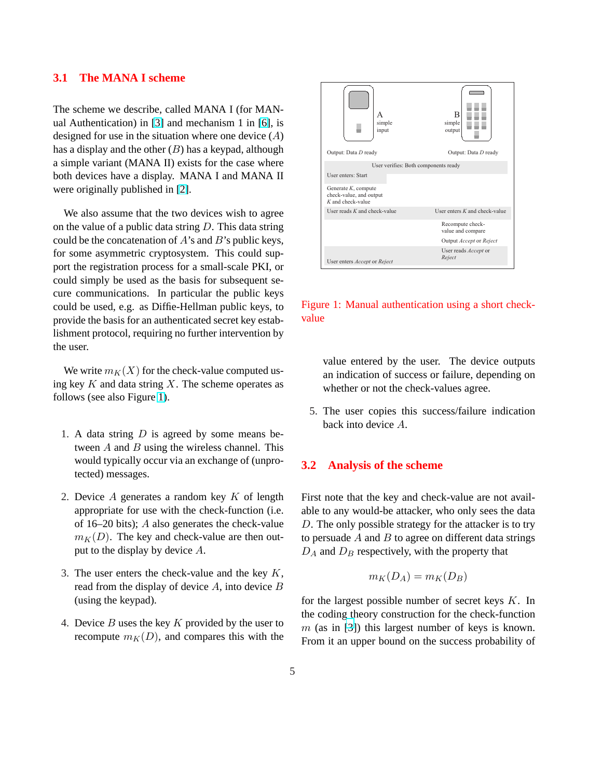### **3.1 The MANA I scheme**

The scheme we describe, called MANA I (for MANual Authentication) in [\[3\]](#page-7-0) and mechanism 1 in [\[6\]](#page-8-0), is designed for use in the situation where one device  $(A)$ has a display and the other  $(B)$  has a keypad, although a simple variant (MANA II) exists for the case where both devices have a display. MANA I and MANA II were originally published in [\[2\]](#page-7-0).

We also assume that the two devices wish to agree on the value of a public data string  $D$ . This data string could be the concatenation of  $A$ 's and  $B$ 's public keys, for some asymmetric cryptosystem. This could support the registration process for a small-scale PKI, or could simply be used as the basis for subsequent secure communications. In particular the public keys could be used, e.g. as Diffie-Hellman public keys, to provide the basis for an authenticated secret key establishment protocol, requiring no further intervention by the user.

We write  $m_K(X)$  for the check-value computed using key  $K$  and data string  $X$ . The scheme operates as follows (see also Figure 1).

- 1. A data string  $D$  is agreed by some means between  $A$  and  $B$  using the wireless channel. This would typically occur via an exchange of (unprotected) messages.
- 2. Device  $A$  generates a random key  $K$  of length appropriate for use with the check-function (i.e. of 16–20 bits); A also generates the check-value  $m<sub>K</sub>(D)$ . The key and check-value are then output to the display by device A.
- 3. The user enters the check-value and the key  $K$ , read from the display of device A, into device B (using the keypad).
- 4. Device  $B$  uses the key  $K$  provided by the user to recompute  $m<sub>K</sub>(D)$ , and compares this with the



Figure 1: Manual authentication using a short checkvalue

value entered by the user. The device outputs an indication of success or failure, depending on whether or not the check-values agree.

5. The user copies this success/failure indication back into device A.

#### **3.2 Analysis of the scheme**

First note that the key and check-value are not available to any would-be attacker, who only sees the data D. The only possible strategy for the attacker is to try to persuade  $A$  and  $B$  to agree on different data strings  $D_A$  and  $D_B$  respectively, with the property that

$$
m_K(D_A) = m_K(D_B)
$$

for the largest possible number of secret keys  $K$ . In the coding theory construction for the check-function  $m$  (as in [\[3\]](#page-7-0)) this largest number of keys is known. From it an upper bound on the success probability of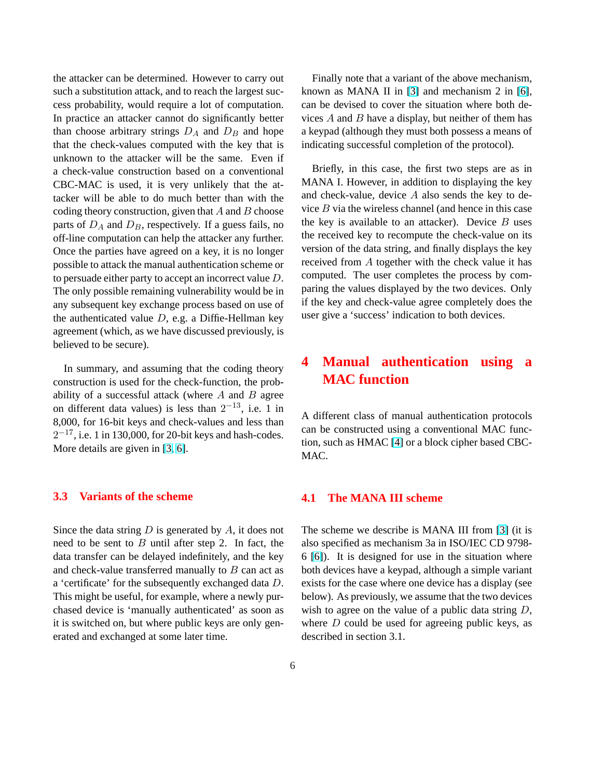the attacker can be determined. However to carry out such a substitution attack, and to reach the largest success probability, would require a lot of computation. In practice an attacker cannot do significantly better than choose arbitrary strings  $D_A$  and  $D_B$  and hope that the check-values computed with the key that is unknown to the attacker will be the same. Even if a check-value construction based on a conventional CBC-MAC is used, it is very unlikely that the attacker will be able to do much better than with the coding theory construction, given that  $A$  and  $B$  choose parts of  $D_A$  and  $D_B$ , respectively. If a guess fails, no off-line computation can help the attacker any further. Once the parties have agreed on a key, it is no longer possible to attack the manual authentication scheme or to persuade either party to accept an incorrect value D. The only possible remaining vulnerability would be in any subsequent key exchange process based on use of the authenticated value  $D$ , e.g. a Diffie-Hellman key agreement (which, as we have discussed previously, is believed to be secure).

In summary, and assuming that the coding theory construction is used for the check-function, the probability of a successful attack (where  $A$  and  $B$  agree on different data values) is less than  $2^{-13}$ , i.e. 1 in 8,000, for 16-bit keys and check-values and less than  $2^{-17}$ , i.e. 1 in 130,000, for 20-bit keys and hash-codes. More details are given in [\[3,](#page-7-0) [6\]](#page-8-0).

#### **3.3 Variants of the scheme**

Since the data string  $D$  is generated by  $A$ , it does not need to be sent to  $B$  until after step 2. In fact, the data transfer can be delayed indefinitely, and the key and check-value transferred manually to  $B$  can act as a 'certificate' for the subsequently exchanged data D. This might be useful, for example, where a newly purchased device is 'manually authenticated' as soon as it is switched on, but where public keys are only generated and exchanged at some later time.

Finally note that a variant of the above mechanism, known as MANA II in [\[3\]](#page-7-0) and mechanism 2 in [\[6\]](#page-8-0), can be devised to cover the situation where both devices  $A$  and  $B$  have a display, but neither of them has a keypad (although they must both possess a means of indicating successful completion of the protocol).

Briefly, in this case, the first two steps are as in MANA I. However, in addition to displaying the key and check-value, device  $A$  also sends the key to device  $B$  via the wireless channel (and hence in this case the key is available to an attacker). Device  $B$  uses the received key to recompute the check-value on its version of the data string, and finally displays the key received from A together with the check value it has computed. The user completes the process by comparing the values displayed by the two devices. Only if the key and check-value agree completely does the user give a 'success' indication to both devices.

# **4 Manual authentication using a MAC function**

A different class of manual authentication protocols can be constructed using a conventional MAC function, such as HMAC [\[4\]](#page-8-0) or a block cipher based CBC-MAC.

### **4.1 The MANA III scheme**

The scheme we describe is MANA III from [\[3\]](#page-7-0) (it is also specified as mechanism 3a in ISO/IEC CD 9798- 6 [\[6\]](#page-8-0)). It is designed for use in the situation where both devices have a keypad, although a simple variant exists for the case where one device has a display (see below). As previously, we assume that the two devices wish to agree on the value of a public data string  $D$ , where  $D$  could be used for agreeing public keys, as described in section 3.1.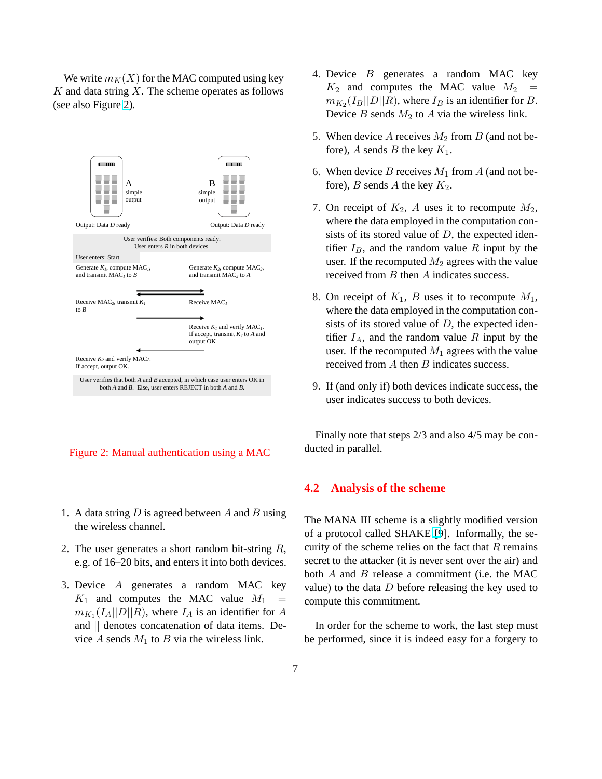We write  $m_K(X)$  for the MAC computed using key  $K$  and data string  $X$ . The scheme operates as follows (see also Figure 2).



Figure 2: Manual authentication using a MAC

- 1. A data string  $D$  is agreed between  $A$  and  $B$  using the wireless channel.
- 2. The user generates a short random bit-string  $R$ , e.g. of 16–20 bits, and enters it into both devices.
- 3. Device A generates a random MAC key  $K_1$  and computes the MAC value  $M_1$  =  $m_{K_1}(I_A||D||R)$ , where  $I_A$  is an identifier for A and || denotes concatenation of data items. Device  $A$  sends  $M_1$  to  $B$  via the wireless link.
- 4. Device B generates a random MAC key  $K_2$  and computes the MAC value  $M_2$  =  $m_{K_2}(I_B||D||R)$ , where  $I_B$  is an identifier for B. Device  $B$  sends  $M_2$  to  $A$  via the wireless link.
- 5. When device A receives  $M_2$  from B (and not before), A sends B the key  $K_1$ .
- 6. When device B receives  $M_1$  from A (and not before), B sends A the key  $K_2$ .
- 7. On receipt of  $K_2$ , A uses it to recompute  $M_2$ , where the data employed in the computation consists of its stored value of  $D$ , the expected identifier  $I_B$ , and the random value R input by the user. If the recomputed  $M_2$  agrees with the value received from B then A indicates success.
- 8. On receipt of  $K_1$ , B uses it to recompute  $M_1$ , where the data employed in the computation consists of its stored value of  $D$ , the expected identifier  $I_A$ , and the random value R input by the user. If the recomputed  $M_1$  agrees with the value received from A then B indicates success.
- 9. If (and only if) both devices indicate success, the user indicates success to both devices.

Finally note that steps 2/3 and also 4/5 may be conducted in parallel.

#### **4.2 Analysis of the scheme**

The MANA III scheme is a slightly modified version of a protocol called SHAKE [\[9](#page-8-0)]. Informally, the security of the scheme relies on the fact that  $R$  remains secret to the attacker (it is never sent over the air) and both  $A$  and  $B$  release a commitment (i.e. the MAC value) to the data  $D$  before releasing the key used to compute this commitment.

In order for the scheme to work, the last step must be performed, since it is indeed easy for a forgery to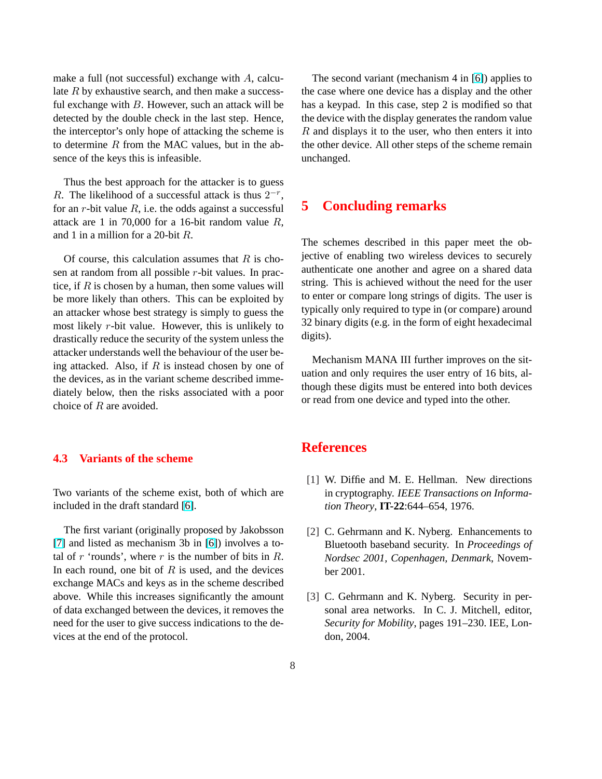<span id="page-7-0"></span>make a full (not successful) exchange with  $A$ , calculate  $R$  by exhaustive search, and then make a successful exchange with  $B$ . However, such an attack will be detected by the double check in the last step. Hence, the interceptor's only hope of attacking the scheme is to determine  $R$  from the MAC values, but in the absence of the keys this is infeasible.

Thus the best approach for the attacker is to guess R. The likelihood of a successful attack is thus  $2^{-r}$ , for an r-bit value  $R$ , i.e. the odds against a successful attack are 1 in 70,000 for a 16-bit random value  $R$ , and 1 in a million for a 20-bit R.

Of course, this calculation assumes that  $R$  is chosen at random from all possible r-bit values. In practice, if  $R$  is chosen by a human, then some values will be more likely than others. This can be exploited by an attacker whose best strategy is simply to guess the most likely r-bit value. However, this is unlikely to drastically reduce the security of the system unless the attacker understands well the behaviour of the user being attacked. Also, if  $R$  is instead chosen by one of the devices, as in the variant scheme described immediately below, then the risks associated with a poor choice of R are avoided.

#### **4.3 Variants of the scheme**

Two variants of the scheme exist, both of which are included in the draft standard [\[6\]](#page-8-0).

The first variant (originally proposed by Jakobsson [\[7\]](#page-8-0) and listed as mechanism 3b in [\[6\]](#page-8-0)) involves a total of r 'rounds', where r is the number of bits in  $R$ . In each round, one bit of  $R$  is used, and the devices exchange MACs and keys as in the scheme described above. While this increases significantly the amount of data exchanged between the devices, it removes the need for the user to give success indications to the devices at the end of the protocol.

The second variant (mechanism 4 in [\[6\]](#page-8-0)) applies to the case where one device has a display and the other has a keypad. In this case, step 2 is modified so that the device with the display generates the random value  $R$  and displays it to the user, who then enters it into the other device. All other steps of the scheme remain unchanged.

## **5 Concluding remarks**

The schemes described in this paper meet the objective of enabling two wireless devices to securely authenticate one another and agree on a shared data string. This is achieved without the need for the user to enter or compare long strings of digits. The user is typically only required to type in (or compare) around 32 binary digits (e.g. in the form of eight hexadecimal digits).

Mechanism MANA III further improves on the situation and only requires the user entry of 16 bits, although these digits must be entered into both devices or read from one device and typed into the other.

## **References**

- [1] W. Diffie and M. E. Hellman. New directions in cryptography. *IEEE Transactions on Information Theory*, **IT-22**:644–654, 1976.
- [2] C. Gehrmann and K. Nyberg. Enhancements to Bluetooth baseband security. In *Proceedings of Nordsec 2001, Copenhagen, Denmark*, November 2001.
- [3] C. Gehrmann and K. Nyberg. Security in personal area networks. In C. J. Mitchell, editor, *Security for Mobility*, pages 191–230. IEE, London, 2004.